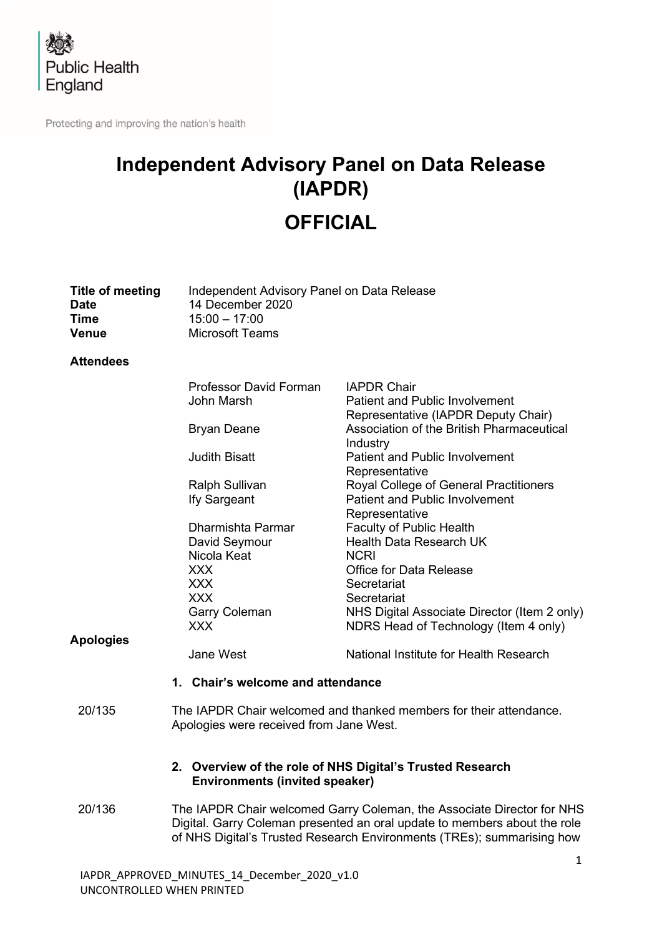

Protecting and improving the nation's health

# **Independent Advisory Panel on Data Release (IAPDR) OFFICIAL**

| <b>Title of meeting</b><br><b>Date</b><br>Time<br><b>Venue</b> | Independent Advisory Panel on Data Release<br>14 December 2020<br>$15:00 - 17:00$<br><b>Microsoft Teams</b>                                                                                                                   |                                                                                                    |  |
|----------------------------------------------------------------|-------------------------------------------------------------------------------------------------------------------------------------------------------------------------------------------------------------------------------|----------------------------------------------------------------------------------------------------|--|
| <b>Attendees</b>                                               |                                                                                                                                                                                                                               |                                                                                                    |  |
|                                                                | Professor David Forman<br>John Marsh                                                                                                                                                                                          | <b>IAPDR Chair</b><br><b>Patient and Public Involvement</b><br>Representative (IAPDR Deputy Chair) |  |
|                                                                | <b>Bryan Deane</b>                                                                                                                                                                                                            | Association of the British Pharmaceutical<br>Industry                                              |  |
|                                                                | <b>Judith Bisatt</b>                                                                                                                                                                                                          | <b>Patient and Public Involvement</b><br>Representative                                            |  |
|                                                                | Ralph Sullivan<br>Ify Sargeant                                                                                                                                                                                                | Royal College of General Practitioners<br><b>Patient and Public Involvement</b><br>Representative  |  |
|                                                                | Dharmishta Parmar                                                                                                                                                                                                             | <b>Faculty of Public Health</b>                                                                    |  |
|                                                                | David Seymour                                                                                                                                                                                                                 | Health Data Research UK                                                                            |  |
|                                                                | Nicola Keat                                                                                                                                                                                                                   | <b>NCRI</b>                                                                                        |  |
|                                                                | <b>XXX</b>                                                                                                                                                                                                                    | <b>Office for Data Release</b>                                                                     |  |
|                                                                | <b>XXX</b>                                                                                                                                                                                                                    | Secretariat                                                                                        |  |
|                                                                | <b>XXX</b>                                                                                                                                                                                                                    | Secretariat                                                                                        |  |
|                                                                | <b>Garry Coleman</b>                                                                                                                                                                                                          | NHS Digital Associate Director (Item 2 only)                                                       |  |
|                                                                | <b>XXX</b>                                                                                                                                                                                                                    | NDRS Head of Technology (Item 4 only)                                                              |  |
| <b>Apologies</b>                                               |                                                                                                                                                                                                                               |                                                                                                    |  |
|                                                                | <b>Jane West</b>                                                                                                                                                                                                              | National Institute for Health Research                                                             |  |
|                                                                | 1. Chair's welcome and attendance                                                                                                                                                                                             |                                                                                                    |  |
| 20/135                                                         | The IAPDR Chair welcomed and thanked members for their attendance.<br>Apologies were received from Jane West.<br>2. Overview of the role of NHS Digital's Trusted Research<br><b>Environments (invited speaker)</b>           |                                                                                                    |  |
|                                                                |                                                                                                                                                                                                                               |                                                                                                    |  |
| 20/136                                                         | The IAPDR Chair welcomed Garry Coleman, the Associate Director for NHS<br>Digital. Garry Coleman presented an oral update to members about the role<br>of NHS Digital's Trusted Research Environments (TREs); summarising how |                                                                                                    |  |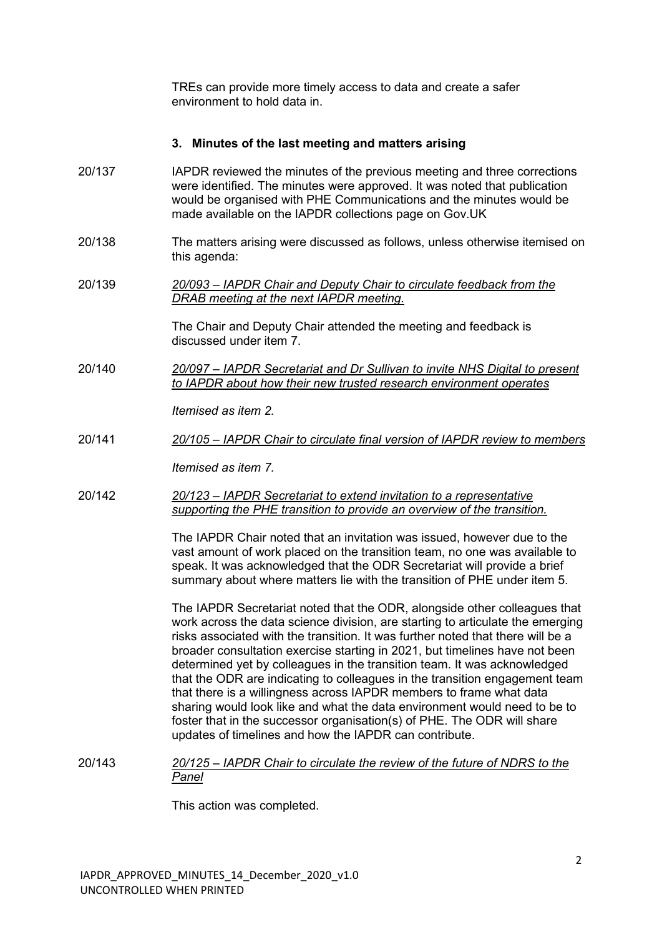TREs can provide more timely access to data and create a safer environment to hold data in.

#### **3. Minutes of the last meeting and matters arising**

- 20/137 IAPDR reviewed the minutes of the previous meeting and three corrections were identified. The minutes were approved. It was noted that publication would be organised with PHE Communications and the minutes would be made available on the IAPDR collections page on Gov.UK
- 20/138 The matters arising were discussed as follows, unless otherwise itemised on this agenda:
- 20/139 *20/093 – IAPDR Chair and Deputy Chair to circulate feedback from the DRAB meeting at the next IAPDR meeting.*

The Chair and Deputy Chair attended the meeting and feedback is discussed under item 7.

20/140 *20/097 – IAPDR Secretariat and Dr Sullivan to invite NHS Digital to present to IAPDR about how their new trusted research environment operates*

*Itemised as item 2.*

20/141 *20/105 – IAPDR Chair to circulate final version of IAPDR review to members*

*Itemised as item 7.*

20/142 *20/123 – IAPDR Secretariat to extend invitation to a representative supporting the PHE transition to provide an overview of the transition.*

> The IAPDR Chair noted that an invitation was issued, however due to the vast amount of work placed on the transition team, no one was available to speak. It was acknowledged that the ODR Secretariat will provide a brief summary about where matters lie with the transition of PHE under item 5.

The IAPDR Secretariat noted that the ODR, alongside other colleagues that work across the data science division, are starting to articulate the emerging risks associated with the transition. It was further noted that there will be a broader consultation exercise starting in 2021, but timelines have not been determined yet by colleagues in the transition team. It was acknowledged that the ODR are indicating to colleagues in the transition engagement team that there is a willingness across IAPDR members to frame what data sharing would look like and what the data environment would need to be to foster that in the successor organisation(s) of PHE. The ODR will share updates of timelines and how the IAPDR can contribute.

20/143 *20/125 – IAPDR Chair to circulate the review of the future of NDRS to the Panel*

This action was completed.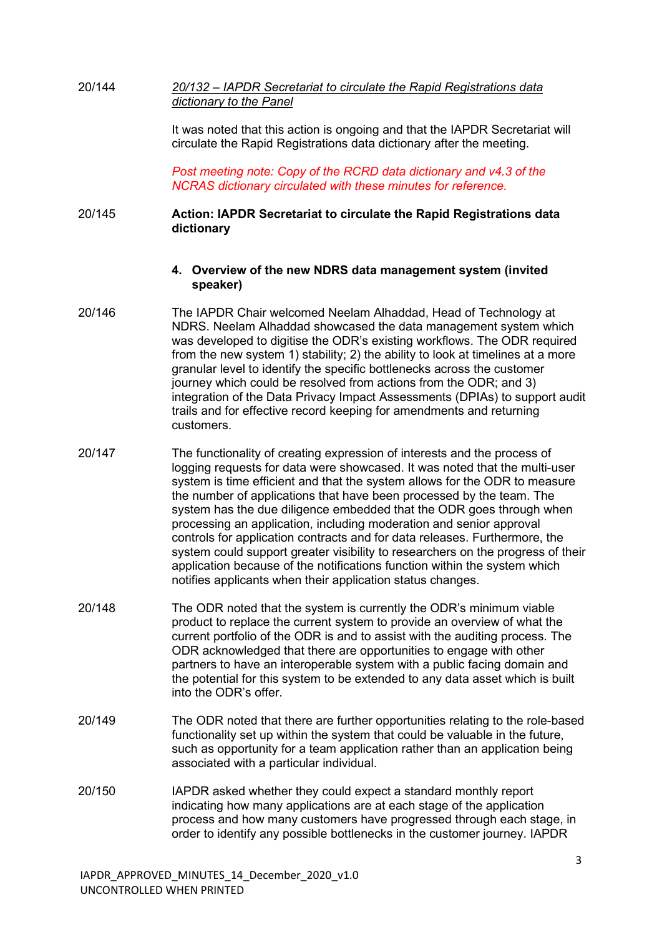| 20/144 | 20/132 – IAPDR Secretariat to circulate the Rapid Registrations data |
|--------|----------------------------------------------------------------------|
|        | dictionary to the Panel                                              |

It was noted that this action is ongoing and that the IAPDR Secretariat will circulate the Rapid Registrations data dictionary after the meeting.

*Post meeting note: Copy of the RCRD data dictionary and v4.3 of the NCRAS dictionary circulated with these minutes for reference.*

# 20/145 **Action: IAPDR Secretariat to circulate the Rapid Registrations data dictionary**

## **4. Overview of the new NDRS data management system (invited speaker)**

- 20/146 The IAPDR Chair welcomed Neelam Alhaddad, Head of Technology at NDRS. Neelam Alhaddad showcased the data management system which was developed to digitise the ODR's existing workflows. The ODR required from the new system 1) stability; 2) the ability to look at timelines at a more granular level to identify the specific bottlenecks across the customer journey which could be resolved from actions from the ODR; and 3) integration of the Data Privacy Impact Assessments (DPIAs) to support audit trails and for effective record keeping for amendments and returning customers.
- 20/147 The functionality of creating expression of interests and the process of logging requests for data were showcased. It was noted that the multi-user system is time efficient and that the system allows for the ODR to measure the number of applications that have been processed by the team. The system has the due diligence embedded that the ODR goes through when processing an application, including moderation and senior approval controls for application contracts and for data releases. Furthermore, the system could support greater visibility to researchers on the progress of their application because of the notifications function within the system which notifies applicants when their application status changes.
- 20/148 The ODR noted that the system is currently the ODR's minimum viable product to replace the current system to provide an overview of what the current portfolio of the ODR is and to assist with the auditing process. The ODR acknowledged that there are opportunities to engage with other partners to have an interoperable system with a public facing domain and the potential for this system to be extended to any data asset which is built into the ODR's offer.
- 20/149 The ODR noted that there are further opportunities relating to the role-based functionality set up within the system that could be valuable in the future, such as opportunity for a team application rather than an application being associated with a particular individual.
- 20/150 IAPDR asked whether they could expect a standard monthly report indicating how many applications are at each stage of the application process and how many customers have progressed through each stage, in order to identify any possible bottlenecks in the customer journey. IAPDR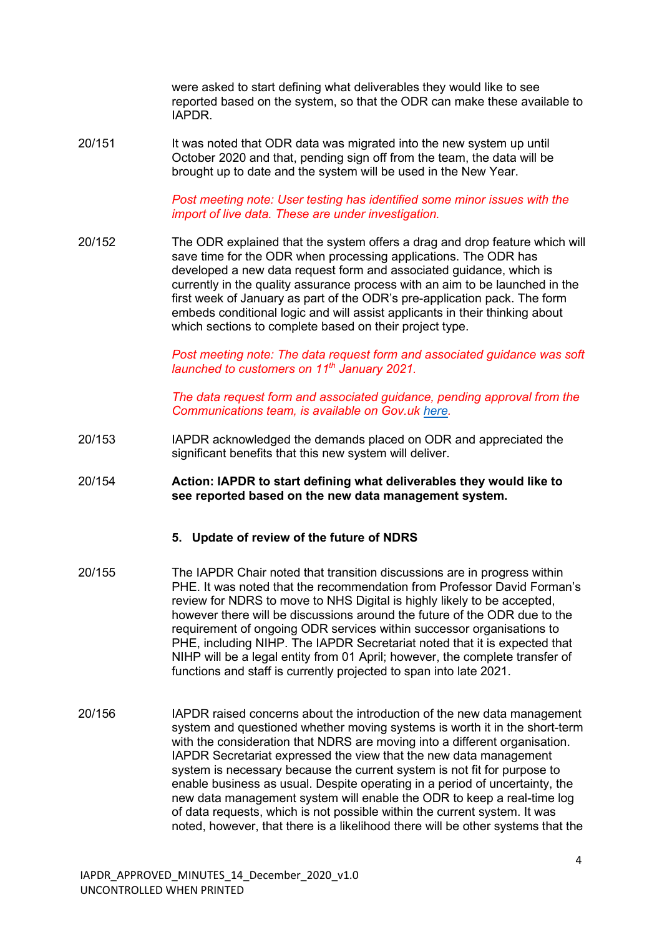were asked to start defining what deliverables they would like to see reported based on the system, so that the ODR can make these available to IAPDR.

20/151 It was noted that ODR data was migrated into the new system up until October 2020 and that, pending sign off from the team, the data will be brought up to date and the system will be used in the New Year.

> *Post meeting note: User testing has identified some minor issues with the import of live data. These are under investigation.*

20/152 The ODR explained that the system offers a drag and drop feature which will save time for the ODR when processing applications. The ODR has developed a new data request form and associated guidance, which is currently in the quality assurance process with an aim to be launched in the first week of January as part of the ODR's pre-application pack. The form embeds conditional logic and will assist applicants in their thinking about which sections to complete based on their project type.

> **Post meeting note: The data request form and associated guidance was soft** *launched to customers on 11th January 2021.*

> *The data request form and associated guidance, pending approval from the Communications team, is available on Gov.uk [here.](https://www.gov.uk/government/publications/odr-data-request-form)*

- 20/153 IAPDR acknowledged the demands placed on ODR and appreciated the significant benefits that this new system will deliver.
- 20/154 **Action: IAPDR to start defining what deliverables they would like to see reported based on the new data management system.**

#### **5. Update of review of the future of NDRS**

- 20/155 The IAPDR Chair noted that transition discussions are in progress within PHE. It was noted that the recommendation from Professor David Forman's review for NDRS to move to NHS Digital is highly likely to be accepted, however there will be discussions around the future of the ODR due to the requirement of ongoing ODR services within successor organisations to PHE, including NIHP. The IAPDR Secretariat noted that it is expected that NIHP will be a legal entity from 01 April; however, the complete transfer of functions and staff is currently projected to span into late 2021.
- 20/156 IAPDR raised concerns about the introduction of the new data management system and questioned whether moving systems is worth it in the short-term with the consideration that NDRS are moving into a different organisation. IAPDR Secretariat expressed the view that the new data management system is necessary because the current system is not fit for purpose to enable business as usual. Despite operating in a period of uncertainty, the new data management system will enable the ODR to keep a real-time log of data requests, which is not possible within the current system. It was noted, however, that there is a likelihood there will be other systems that the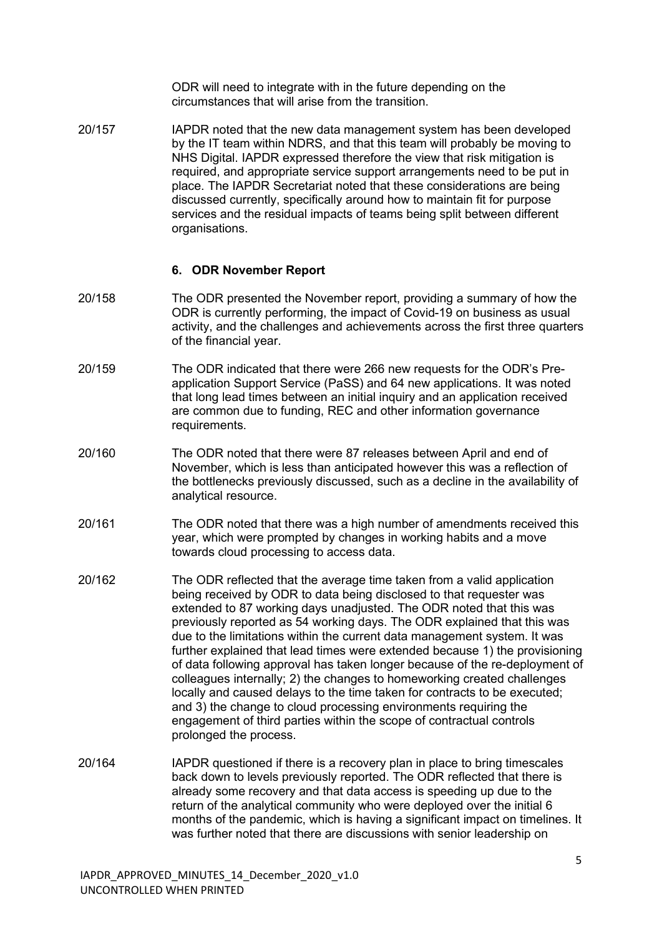ODR will need to integrate with in the future depending on the circumstances that will arise from the transition.

20/157 IAPDR noted that the new data management system has been developed by the IT team within NDRS, and that this team will probably be moving to NHS Digital. IAPDR expressed therefore the view that risk mitigation is required, and appropriate service support arrangements need to be put in place. The IAPDR Secretariat noted that these considerations are being discussed currently, specifically around how to maintain fit for purpose services and the residual impacts of teams being split between different organisations.

# **6. ODR November Report**

- 20/158 The ODR presented the November report, providing a summary of how the ODR is currently performing, the impact of Covid-19 on business as usual activity, and the challenges and achievements across the first three quarters of the financial year.
- 20/159 The ODR indicated that there were 266 new requests for the ODR's Preapplication Support Service (PaSS) and 64 new applications. It was noted that long lead times between an initial inquiry and an application received are common due to funding, REC and other information governance requirements.
- 20/160 The ODR noted that there were 87 releases between April and end of November, which is less than anticipated however this was a reflection of the bottlenecks previously discussed, such as a decline in the availability of analytical resource.
- 20/161 The ODR noted that there was a high number of amendments received this year, which were prompted by changes in working habits and a move towards cloud processing to access data.
- 20/162 The ODR reflected that the average time taken from a valid application being received by ODR to data being disclosed to that requester was extended to 87 working days unadjusted. The ODR noted that this was previously reported as 54 working days. The ODR explained that this was due to the limitations within the current data management system. It was further explained that lead times were extended because 1) the provisioning of data following approval has taken longer because of the re-deployment of colleagues internally; 2) the changes to homeworking created challenges locally and caused delays to the time taken for contracts to be executed; and 3) the change to cloud processing environments requiring the engagement of third parties within the scope of contractual controls prolonged the process.
- 20/164 IAPDR questioned if there is a recovery plan in place to bring timescales back down to levels previously reported. The ODR reflected that there is already some recovery and that data access is speeding up due to the return of the analytical community who were deployed over the initial 6 months of the pandemic, which is having a significant impact on timelines. It was further noted that there are discussions with senior leadership on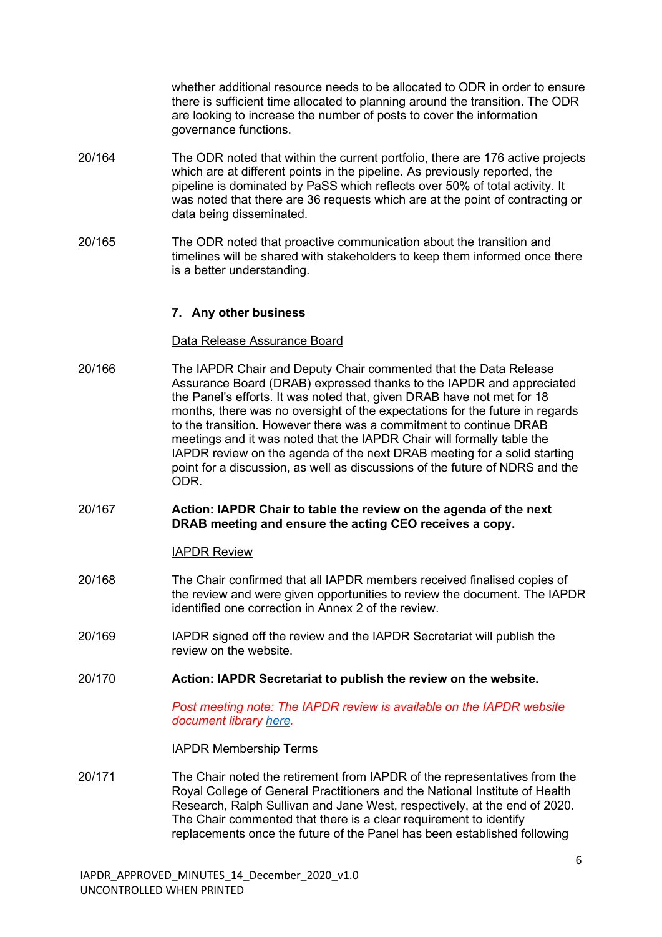whether additional resource needs to be allocated to ODR in order to ensure there is sufficient time allocated to planning around the transition. The ODR are looking to increase the number of posts to cover the information governance functions.

- 20/164 The ODR noted that within the current portfolio, there are 176 active projects which are at different points in the pipeline. As previously reported, the pipeline is dominated by PaSS which reflects over 50% of total activity. It was noted that there are 36 requests which are at the point of contracting or data being disseminated.
- 20/165 The ODR noted that proactive communication about the transition and timelines will be shared with stakeholders to keep them informed once there is a better understanding.

## **7. Any other business**

## Data Release Assurance Board

- 20/166 The IAPDR Chair and Deputy Chair commented that the Data Release Assurance Board (DRAB) expressed thanks to the IAPDR and appreciated the Panel's efforts. It was noted that, given DRAB have not met for 18 months, there was no oversight of the expectations for the future in regards to the transition. However there was a commitment to continue DRAB meetings and it was noted that the IAPDR Chair will formally table the IAPDR review on the agenda of the next DRAB meeting for a solid starting point for a discussion, as well as discussions of the future of NDRS and the ODR.
- 20/167 **Action: IAPDR Chair to table the review on the agenda of the next DRAB meeting and ensure the acting CEO receives a copy.**

## IAPDR Review

- 20/168 The Chair confirmed that all IAPDR members received finalised copies of the review and were given opportunities to review the document. The IAPDR identified one correction in Annex 2 of the review.
- 20/169 IAPDR signed off the review and the IAPDR Secretariat will publish the review on the website.
- 20/170 **Action: IAPDR Secretariat to publish the review on the website.**

*Post meeting note: The IAPDR review is available on the IAPDR website document library [here.](https://khub.net/web/phe-national/public-library/-/document_library/v2WsRK3ZlEig/view/249469714?_com_liferay_document_library_web_portlet_DLPortlet_INSTANCE_v2WsRK3ZlEig_redirect=https%3A%2F%2Fkhub.net%3A443%2Fweb%2Fphe-national%2Fpublic-library%2F-%2Fdocument_library%2Fv2WsRK3ZlEig%2Fview%2F249469685)*

#### IAPDR Membership Terms

20/171 The Chair noted the retirement from IAPDR of the representatives from the Royal College of General Practitioners and the National Institute of Health Research, Ralph Sullivan and Jane West, respectively, at the end of 2020. The Chair commented that there is a clear requirement to identify replacements once the future of the Panel has been established following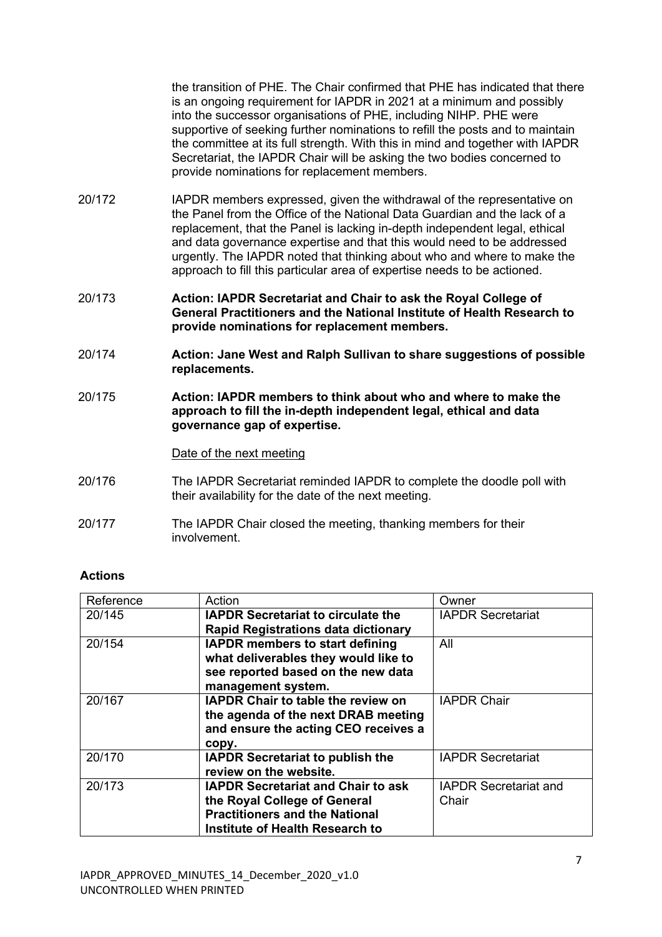the transition of PHE. The Chair confirmed that PHE has indicated that there is an ongoing requirement for IAPDR in 2021 at a minimum and possibly into the successor organisations of PHE, including NIHP. PHE were supportive of seeking further nominations to refill the posts and to maintain the committee at its full strength. With this in mind and together with IAPDR Secretariat, the IAPDR Chair will be asking the two bodies concerned to provide nominations for replacement members.

- 20/172 IAPDR members expressed, given the withdrawal of the representative on the Panel from the Office of the National Data Guardian and the lack of a replacement, that the Panel is lacking in-depth independent legal, ethical and data governance expertise and that this would need to be addressed urgently. The IAPDR noted that thinking about who and where to make the approach to fill this particular area of expertise needs to be actioned.
- 20/173 **Action: IAPDR Secretariat and Chair to ask the Royal College of General Practitioners and the National Institute of Health Research to provide nominations for replacement members.**
- 20/174 **Action: Jane West and Ralph Sullivan to share suggestions of possible replacements.**
- 20/175 **Action: IAPDR members to think about who and where to make the approach to fill the in-depth independent legal, ethical and data governance gap of expertise.**

## Date of the next meeting

- 20/176 The IAPDR Secretariat reminded IAPDR to complete the doodle poll with their availability for the date of the next meeting.
- 20/177 The IAPDR Chair closed the meeting, thanking members for their involvement.

# **Actions**

| Reference | Action                                     | Owner                        |
|-----------|--------------------------------------------|------------------------------|
| 20/145    | <b>IAPDR Secretariat to circulate the</b>  | <b>IAPDR Secretariat</b>     |
|           | <b>Rapid Registrations data dictionary</b> |                              |
| 20/154    | <b>IAPDR members to start defining</b>     | All                          |
|           | what deliverables they would like to       |                              |
|           | see reported based on the new data         |                              |
|           | management system.                         |                              |
| 20/167    | <b>IAPDR Chair to table the review on</b>  | <b>IAPDR Chair</b>           |
|           | the agenda of the next DRAB meeting        |                              |
|           | and ensure the acting CEO receives a       |                              |
|           | copy.                                      |                              |
| 20/170    | <b>IAPDR Secretariat to publish the</b>    | <b>IAPDR Secretariat</b>     |
|           | review on the website.                     |                              |
| 20/173    | <b>IAPDR Secretariat and Chair to ask</b>  | <b>IAPDR Secretariat and</b> |
|           | the Royal College of General               | Chair                        |
|           | <b>Practitioners and the National</b>      |                              |
|           | Institute of Health Research to            |                              |